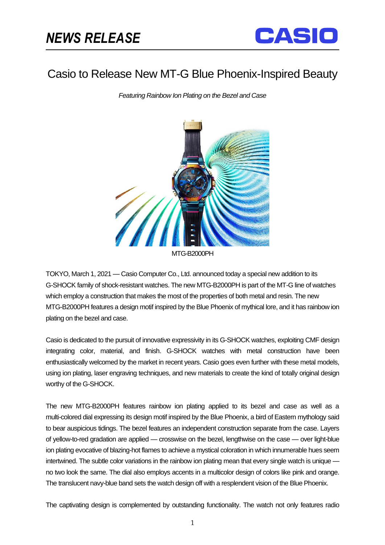֡֡֡֡



## Casio to Release New MT-G Blue Phoenix-Inspired Beauty

*Featuring Rainbow Ion Plating on the Bezel and Case*



TOKYO, March 1, 2021 — Casio Computer Co., Ltd. announced today a special new addition to its G-SHOCK family of shock-resistant watches. The new MTG-B2000PH is part of the MT-G line of watches which employ a construction that makes the most of the properties of both metal and resin. The new MTG-B2000PH features a design motif inspired by the Blue Phoenix of mythical lore, and it has rainbow ion plating on the bezel and case.

Casio is dedicated to the pursuit of innovative expressivity in its G-SHOCK watches, exploiting CMF design integrating color, material, and finish. G-SHOCK watches with metal construction have been enthusiastically welcomed by the market in recent years. Casio goes even further with these metal models, using ion plating, laser engraving techniques, and new materials to create the kind of totally original design worthy of the G-SHOCK.

The new MTG-B2000PH features rainbow ion plating applied to its bezel and case as well as a multi-colored dial expressing its design motif inspired by the Blue Phoenix, a bird of Eastern mythology said to bear auspicious tidings. The bezel features an independent construction separate from the case. Layers of yellow-to-red gradation are applied — crosswise on the bezel, lengthwise on the case — over light-blue ion plating evocative of blazing-hot flames to achieve a mystical coloration in which innumerable hues seem intertwined. The subtle color variations in the rainbow ion plating mean that every single watch is unique no two look the same. The dial also employs accents in a multicolor design of colors like pink and orange. The translucent navy-blue band sets the watch design off with a resplendent vision of the Blue Phoenix.

The captivating design is complemented by outstanding functionality. The watch not only features radio